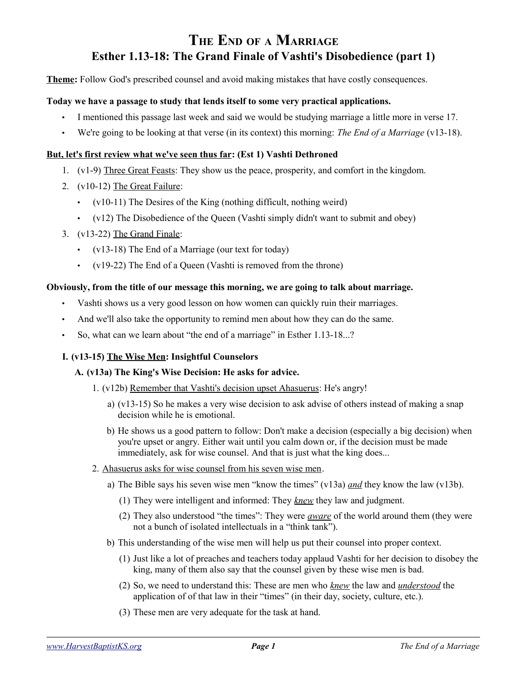# **THE END OF <sup>A</sup> MARRIAGE Esther 1.13-18: The Grand Finale of Vashti's Disobedience (part 1)**

**Theme:** Follow God's prescribed counsel and avoid making mistakes that have costly consequences.

## **Today we have a passage to study that lends itself to some very practical applications.**

- I mentioned this passage last week and said we would be studying marriage a little more in verse 17.
- We're going to be looking at that verse (in its context) this morning: *The End of a Marriage* (v13-18).

## **But, let's first review what we've seen thus far: (Est 1) Vashti Dethroned**

- 1. (v1-9) Three Great Feasts: They show us the peace, prosperity, and comfort in the kingdom.
- 2. (v10-12) The Great Failure:
	- (v10-11) The Desires of the King (nothing difficult, nothing weird)
	- (v12) The Disobedience of the Queen (Vashti simply didn't want to submit and obey)
- 3. (v13-22) The Grand Finale:
	- (v13-18) The End of a Marriage (our text for today)
	- (v19-22) The End of a Queen (Vashti is removed from the throne)

#### **Obviously, from the title of our message this morning, we are going to talk about marriage.**

- Vashti shows us a very good lesson on how women can quickly ruin their marriages.
- And we'll also take the opportunity to remind men about how they can do the same.
- So, what can we learn about "the end of a marriage" in Esther 1.13-18...?

## **I. (v13-15) The Wise Men: Insightful Counselors**

## **A. (v13a) The King's Wise Decision: He asks for advice.**

- 1. (v12b) Remember that Vashti's decision upset Ahasuerus: He's angry!
	- a) (v13-15) So he makes a very wise decision to ask advise of others instead of making a snap decision while he is emotional.
	- b) He shows us a good pattern to follow: Don't make a decision (especially a big decision) when you're upset or angry. Either wait until you calm down or, if the decision must be made immediately, ask for wise counsel. And that is just what the king does...
- 2. Ahasuerus asks for wise counsel from his seven wise men.
	- a) The Bible says his seven wise men "know the times" (v13a) *and* they know the law (v13b).
		- (1) They were intelligent and informed: They *knew* they law and judgment.
		- (2) They also understood "the times": They were *aware* of the world around them (they were not a bunch of isolated intellectuals in a "think tank").
	- b) This understanding of the wise men will help us put their counsel into proper context.
		- (1) Just like a lot of preaches and teachers today applaud Vashti for her decision to disobey the king, many of them also say that the counsel given by these wise men is bad.
		- (2) So, we need to understand this: These are men who *knew* the law and *understood* the application of of that law in their "times" (in their day, society, culture, etc.).
		- (3) These men are very adequate for the task at hand.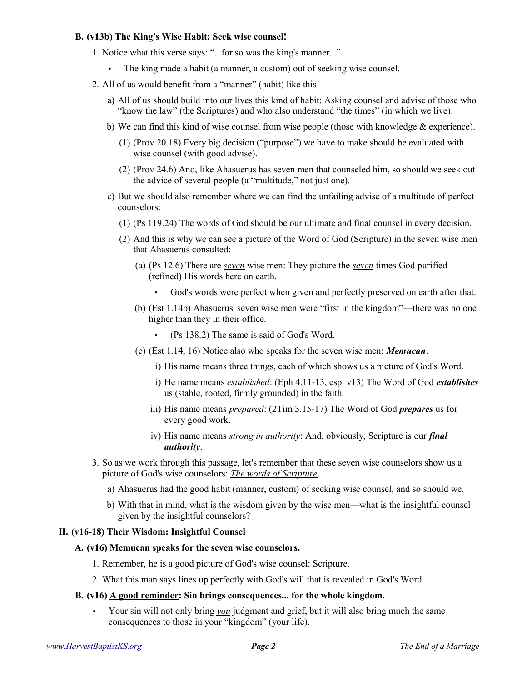### **B. (v13b) The King's Wise Habit: Seek wise counsel!**

- 1. Notice what this verse says: "...for so was the king's manner..."
	- The king made a habit (a manner, a custom) out of seeking wise counsel.
- 2. All of us would benefit from a "manner" (habit) like this!
	- a) All of us should build into our lives this kind of habit: Asking counsel and advise of those who "know the law" (the Scriptures) and who also understand "the times" (in which we live).
	- b) We can find this kind of wise counsel from wise people (those with knowledge  $\&$  experience).
		- (1) (Prov 20.18) Every big decision ("purpose") we have to make should be evaluated with wise counsel (with good advise).
		- (2) (Prov 24.6) And, like Ahasuerus has seven men that counseled him, so should we seek out the advice of several people (a "multitude," not just one).
	- c) But we should also remember where we can find the unfailing advise of a multitude of perfect counselors:
		- (1) (Ps 119.24) The words of God should be our ultimate and final counsel in every decision.
		- (2) And this is why we can see a picture of the Word of God (Scripture) in the seven wise men that Ahasuerus consulted:
			- (a) (Ps 12.6) There are *seven* wise men: They picture the *seven* times God purified (refined) His words here on earth.
				- God's words were perfect when given and perfectly preserved on earth after that.
			- (b) (Est 1.14b) Ahasuerus' seven wise men were "first in the kingdom"—there was no one higher than they in their office.
				- (Ps 138.2) The same is said of God's Word.
			- (c) (Est 1.14, 16) Notice also who speaks for the seven wise men: *Memucan*.
				- i) His name means three things, each of which shows us a picture of God's Word.
				- ii) He name means *established*: (Eph 4.11-13, esp. v13) The Word of God *establishes* us (stable, rooted, firmly grounded) in the faith.
				- iii) His name means *prepared*: (2Tim 3.15-17) The Word of God *prepares* us for every good work.
				- iv) His name means *strong in authority*: And, obviously, Scripture is our *final authority*.
- 3. So as we work through this passage, let's remember that these seven wise counselors show us a picture of God's wise counselors: *The words of Scripture*.
	- a) Ahasuerus had the good habit (manner, custom) of seeking wise counsel, and so should we.
	- b) With that in mind, what is the wisdom given by the wise men—what is the insightful counsel given by the insightful counselors?

## **II. (v16-18) Their Wisdom: Insightful Counsel**

#### **A. (v16) Memucan speaks for the seven wise counselors.**

- 1. Remember, he is a good picture of God's wise counsel: Scripture.
- 2. What this man says lines up perfectly with God's will that is revealed in God's Word.

#### **B. (v16) A good reminder: Sin brings consequences... for the whole kingdom.**

• Your sin will not only bring *you* judgment and grief, but it will also bring much the same consequences to those in your "kingdom" (your life).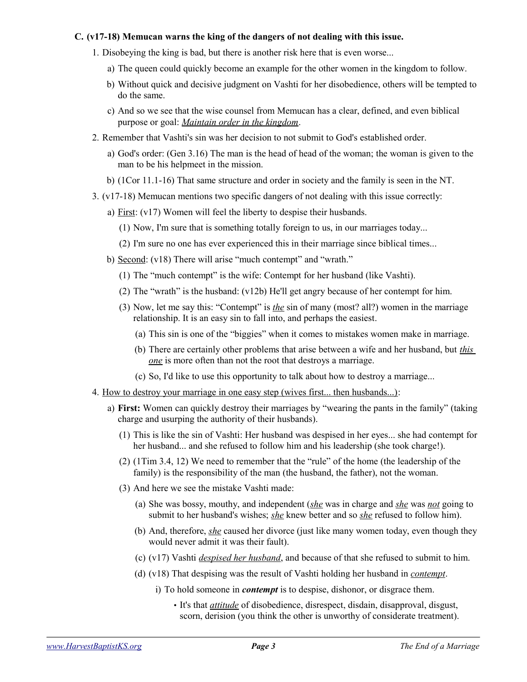## **C. (v17-18) Memucan warns the king of the dangers of not dealing with this issue.**

- 1. Disobeying the king is bad, but there is another risk here that is even worse...
	- a) The queen could quickly become an example for the other women in the kingdom to follow.
	- b) Without quick and decisive judgment on Vashti for her disobedience, others will be tempted to do the same.
	- c) And so we see that the wise counsel from Memucan has a clear, defined, and even biblical purpose or goal: *Maintain order in the kingdom*.
- 2. Remember that Vashti's sin was her decision to not submit to God's established order.
	- a) God's order: (Gen 3.16) The man is the head of head of the woman; the woman is given to the man to be his helpmeet in the mission.
	- b) (1Cor 11.1-16) That same structure and order in society and the family is seen in the NT.
- 3. (v17-18) Memucan mentions two specific dangers of not dealing with this issue correctly:
	- a) First: (v17) Women will feel the liberty to despise their husbands.
		- (1) Now, I'm sure that is something totally foreign to us, in our marriages today...
		- (2) I'm sure no one has ever experienced this in their marriage since biblical times...
	- b) Second: (v18) There will arise "much contempt" and "wrath."
		- (1) The "much contempt" is the wife: Contempt for her husband (like Vashti).
		- (2) The "wrath" is the husband: (v12b) He'll get angry because of her contempt for him.
		- (3) Now, let me say this: "Contempt" is *the* sin of many (most? all?) women in the marriage relationship. It is an easy sin to fall into, and perhaps the easiest.
			- (a) This sin is one of the "biggies" when it comes to mistakes women make in marriage.
			- (b) There are certainly other problems that arise between a wife and her husband, but *this one* is more often than not the root that destroys a marriage.
			- (c) So, I'd like to use this opportunity to talk about how to destroy a marriage...
- 4. How to destroy your marriage in one easy step (wives first... then husbands...):
	- a) **First:** Women can quickly destroy their marriages by "wearing the pants in the family" (taking charge and usurping the authority of their husbands).
		- (1) This is like the sin of Vashti: Her husband was despised in her eyes... she had contempt for her husband... and she refused to follow him and his leadership (she took charge!).
		- (2) (1Tim 3.4, 12) We need to remember that the "rule" of the home (the leadership of the family) is the responsibility of the man (the husband, the father), not the woman.
		- (3) And here we see the mistake Vashti made:
			- (a) She was bossy, mouthy, and independent (*she* was in charge and *she* was *not* going to submit to her husband's wishes; *she* knew better and so *she* refused to follow him).
			- (b) And, therefore, *she* caused her divorce (just like many women today, even though they would never admit it was their fault).
			- (c) (v17) Vashti *despised her husband*, and because of that she refused to submit to him.
			- (d) (v18) That despising was the result of Vashti holding her husband in *contempt*.
				- i) To hold someone in *contempt* is to despise, dishonor, or disgrace them.
					- It's that *attitude* of disobedience, disrespect, disdain, disapproval, disgust, scorn, derision (you think the other is unworthy of considerate treatment).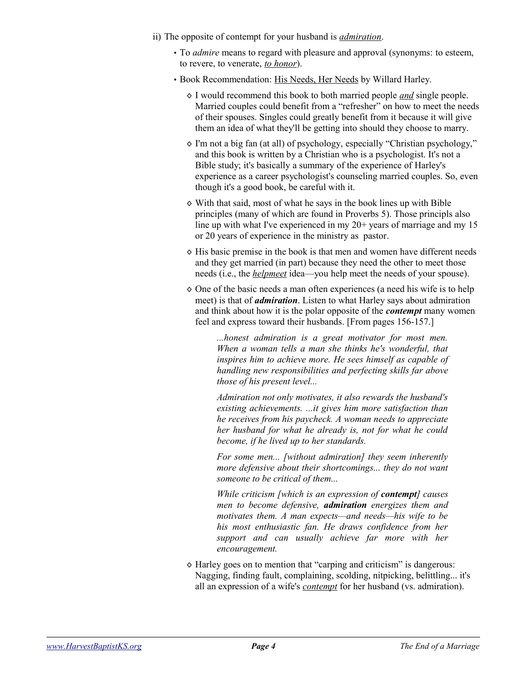- ii) The opposite of contempt for your husband is *admiration*.
	- To *admire* means to regard with pleasure and approval (synonyms: to esteem, to revere, to venerate, *to honor*).
	- Book Recommendation: His Needs, Her Needs by Willard Harley.
		- ◊ I would recommend this book to both married people *and* single people. Married couples could benefit from a "refresher" on how to meet the needs of their spouses. Singles could greatly benefit from it because it will give them an idea of what they'll be getting into should they choose to marry.
		- ◊ I'm not a big fan (at all) of psychology, especially "Christian psychology," and this book is written by a Christian who is a psychologist. It's not a Bible study; it's basically a summary of the experience of Harley's experience as a career psychologist's counseling married couples. So, even though it's a good book, be careful with it.
		- ◊ With that said, most of what he says in the book lines up with Bible principles (many of which are found in Proverbs 5). Those principls also line up with what I've experienced in my 20+ years of marriage and my 15 or 20 years of experience in the ministry as pastor.
		- ◊ His basic premise in the book is that men and women have different needs and they get married (in part) because they need the other to meet those needs (i.e., the *helpmeet* idea—you help meet the needs of your spouse).
		- $\Diamond$  One of the basic needs a man often experiences (a need his wife is to help meet) is that of *admiration*. Listen to what Harley says about admiration and think about how it is the polar opposite of the *contempt* many women feel and express toward their husbands. [From pages 156-157.]

*...honest admiration is a great motivator for most men. When a woman tells a man she thinks he's wonderful, that inspires him to achieve more. He sees himself as capable of handling new responsibilities and perfecting skills far above those of his present level...*

*Admiration not only motivates, it also rewards the husband's existing achievements. ...it gives him more satisfaction than he receives from his paycheck. A woman needs to appreciate her husband for what he already is, not for what he could become, if he lived up to her standards.* 

*For some men... [without admiration] they seem inherently more defensive about their shortcomings... they do not want someone to be critical of them...*

*While criticism [which is an expression of contempt] causes men to become defensive, admiration energizes them and motivates them. A man expects—and needs—his wife to be his most enthusiastic fan. He draws confidence from her support and can usually achieve far more with her encouragement.*

◊ Harley goes on to mention that "carping and criticism" is dangerous: Nagging, finding fault, complaining, scolding, nitpicking, belittling... it's all an expression of a wife's *contempt* for her husband (vs. admiration).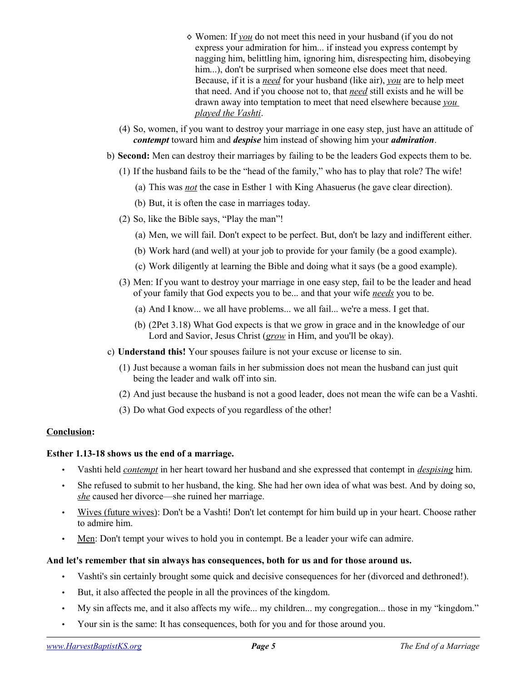- ◊ Women: If *you* do not meet this need in your husband (if you do not express your admiration for him... if instead you express contempt by nagging him, belittling him, ignoring him, disrespecting him, disobeying him...), don't be surprised when someone else does meet that need. Because, if it is a *need* for your husband (like air), *you* are to help meet that need. And if you choose not to, that *need* still exists and he will be drawn away into temptation to meet that need elsewhere because *you played the Vashti*.
- (4) So, women, if you want to destroy your marriage in one easy step, just have an attitude of *contempt* toward him and *despise* him instead of showing him your *admiration*.
- b) **Second:** Men can destroy their marriages by failing to be the leaders God expects them to be.
	- (1) If the husband fails to be the "head of the family," who has to play that role? The wife!
		- (a) This was *not* the case in Esther 1 with King Ahasuerus (he gave clear direction).
		- (b) But, it is often the case in marriages today.
	- (2) So, like the Bible says, "Play the man"!
		- (a) Men, we will fail. Don't expect to be perfect. But, don't be lazy and indifferent either.
		- (b) Work hard (and well) at your job to provide for your family (be a good example).
		- (c) Work diligently at learning the Bible and doing what it says (be a good example).
	- (3) Men: If you want to destroy your marriage in one easy step, fail to be the leader and head of your family that God expects you to be... and that your wife *needs* you to be.
		- (a) And I know... we all have problems... we all fail... we're a mess. I get that.
		- (b) (2Pet 3.18) What God expects is that we grow in grace and in the knowledge of our Lord and Savior, Jesus Christ (*grow* in Him, and you'll be okay).
- c) **Understand this!** Your spouses failure is not your excuse or license to sin.
	- (1) Just because a woman fails in her submission does not mean the husband can just quit being the leader and walk off into sin.
	- (2) And just because the husband is not a good leader, does not mean the wife can be a Vashti.
	- (3) Do what God expects of you regardless of the other!

# **Conclusion:**

## **Esther 1.13-18 shows us the end of a marriage.**

- Vashti held *contempt* in her heart toward her husband and she expressed that contempt in *despising* him.
- She refused to submit to her husband, the king. She had her own idea of what was best. And by doing so, *she* caused her divorce—she ruined her marriage.
- Wives (future wives): Don't be a Vashti! Don't let contempt for him build up in your heart. Choose rather to admire him.
- Men: Don't tempt your wives to hold you in contempt. Be a leader your wife can admire.

## **And let's remember that sin always has consequences, both for us and for those around us.**

- Vashti's sin certainly brought some quick and decisive consequences for her (divorced and dethroned!).
- But, it also affected the people in all the provinces of the kingdom.
- My sin affects me, and it also affects my wife... my children... my congregation... those in my "kingdom."
- Your sin is the same: It has consequences, both for you and for those around you.